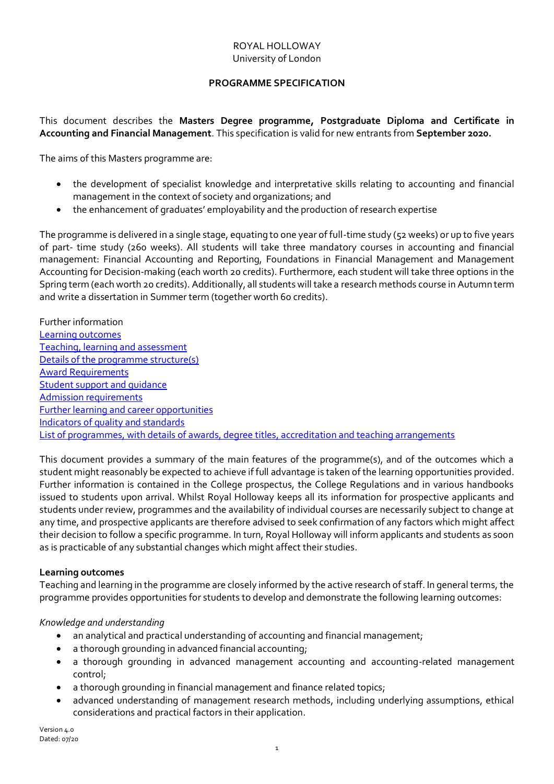## ROYAL HOLLOWAY University of London

## **PROGRAMME SPECIFICATION**

<span id="page-0-1"></span>This document describes the **Masters Degree programme, Postgraduate Diploma and Certificate in Accounting and Financial Management**. This specification is valid for new entrants from **September 2020.**

The aims of this Masters programme are:

- the development of specialist knowledge and interpretative skills relating to accounting and financial management in the context of society and organizations; and
- the enhancement of graduates' employability and the production of research expertise

The programme is delivered in a single stage, equating to one year of full-time study (52 weeks) or up to five years of part- time study (260 weeks). All students will take three mandatory courses in accounting and financial management: Financial Accounting and Reporting, Foundations in Financial Management and Management Accounting for Decision-making (each worth 20 credits). Furthermore, each student will take three options in the Spring term (each worth 20 credits). Additionally, all students will take a research methods course in Autumn term and write a dissertation in Summer term (together worth 60 credits).

Further information [Learning outcomes](#page-0-0) [Teaching, learning and assessment](#page-1-0) [Details of the programme structure\(s\)](#page-1-1) [Award](#page-2-0) Requirements [Student support and guidance](#page-2-1) [Admission requirements](#page-3-0) [Further learning and career opportunities](#page-3-1) [Indicators of quality and standards](#page-3-2) [List of programmes, with details of awards, degree titles, accreditation and teaching arrangements](#page-3-3)

This document provides a summary of the main features of the programme(s), and of the outcomes which a student might reasonably be expected to achieve if full advantage is taken of the learning opportunities provided. Further information is contained in the College prospectus, the College Regulations and in various handbooks issued to students upon arrival. Whilst Royal Holloway keeps all its information for prospective applicants and students under review, programmes and the availability of individual courses are necessarily subject to change at any time, and prospective applicants are therefore advised to seek confirmation of any factors which might affect their decision to follow a specific programme. In turn, Royal Holloway will inform applicants and students as soon as is practicable of any substantial changes which might affect their studies.

## <span id="page-0-0"></span>**Learning outcomes**

Teaching and learning in the programme are closely informed by the active research of staff. In general terms, the programme provides opportunities for students to develop and demonstrate the following learning outcomes:

## *Knowledge and understanding*

- an analytical and practical understanding of accounting and financial management;
- a thorough grounding in advanced financial accounting;
- a thorough grounding in advanced management accounting and accounting-related management control;
- a thorough grounding in financial management and finance related topics;
- advanced understanding of management research methods, including underlying assumptions, ethical considerations and practical factors in their application.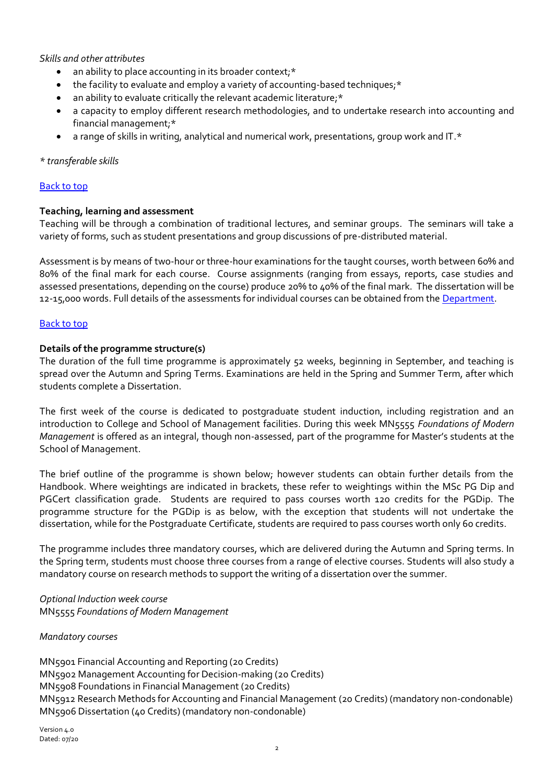*Skills and other attributes*

- an ability to place accounting in its broader context;\*
- the facility to evaluate and employ a variety of accounting-based techniques;\*
- an ability to evaluate critically the relevant academic literature;\*
- a capacity to employ different research methodologies, and to undertake research into accounting and financial management;\*
- a range of skills in writing, analytical and numerical work, presentations, group work and IT.\*

#### *\* transferable skills*

## [Back to top](#page-0-1)

## <span id="page-1-0"></span>**Teaching, learning and assessment**

Teaching will be through a combination of traditional lectures, and seminar groups. The seminars will take a variety of forms, such as student presentations and group discussions of pre-distributed material.

Assessment is by means of two-hour or three-hour examinations for the taught courses, worth between 60% and 80% of the final mark for each course. Course assignments (ranging from essays, reports, case studies and assessed presentations, depending on the course) produce 20% to 40% of the final mark. The dissertation will be 12-15,000 words. Full details of the assessments for individual courses can be obtained from th[e Department.](http://www.rhul.ac.uk/management/home.aspx)

#### [Back to top](#page-0-1)

#### <span id="page-1-1"></span>**Details of the programme structure(s)**

The duration of the full time programme is approximately 52 weeks, beginning in September, and teaching is spread over the Autumn and Spring Terms. Examinations are held in the Spring and Summer Term, after which students complete a Dissertation.

The first week of the course is dedicated to postgraduate student induction, including registration and an introduction to College and School of Management facilities. During this week MN5555 *Foundations of Modern Management* is offered as an integral, though non-assessed, part of the programme for Master's students at the School of Management.

The brief outline of the programme is shown below; however students can obtain further details from the Handbook. Where weightings are indicated in brackets, these refer to weightings within the MSc PG Dip and PGCert classification grade. Students are required to pass courses worth 120 credits for the PGDip. The programme structure for the PGDip is as below, with the exception that students will not undertake the dissertation, while for the Postgraduate Certificate, students are required to pass courses worth only 60 credits.

The programme includes three mandatory courses, which are delivered during the Autumn and Spring terms. In the Spring term, students must choose three courses from a range of elective courses. Students will also study a mandatory course on research methods to support the writing of a dissertation over the summer.

*Optional Induction week course* MN5555 *Foundations of Modern Management*

## *Mandatory courses*

MN5901 Financial Accounting and Reporting (20 Credits) MN5902 Management Accounting for Decision-making (20 Credits) MN5908 Foundations in Financial Management (20 Credits) MN5912 Research Methods for Accounting and Financial Management (20 Credits) (mandatory non-condonable) MN5906 Dissertation (40 Credits) (mandatory non-condonable)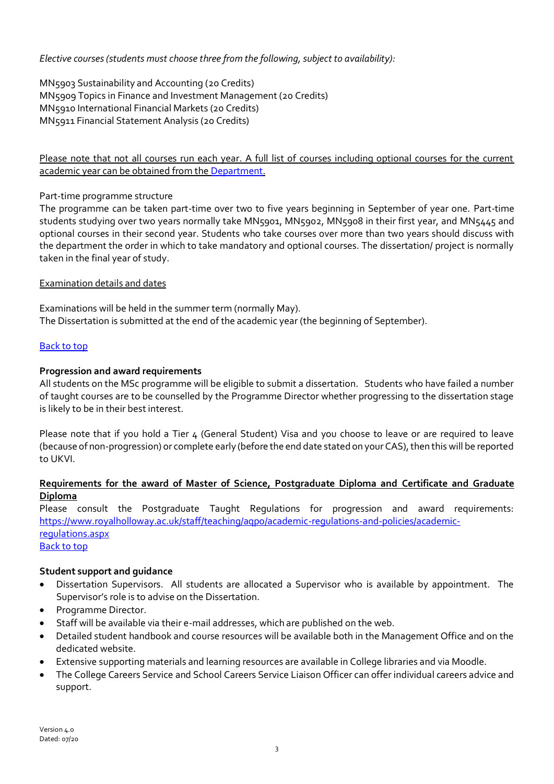*Elective courses (students must choose three from the following, subject to availability):*

MN5903 Sustainability and Accounting (20 Credits) MN5909 Topics in Finance and Investment Management (20 Credits) MN5910 International Financial Markets (20 Credits) MN5911 Financial Statement Analysis (20 Credits)

Please note that not all courses run each year. A full list of courses including optional courses for the current academic year can be obtained from th[e Department.](http://www.rhul.ac.uk/management/home.aspx)

## Part-time programme structure

The programme can be taken part-time over two to five years beginning in September of year one. Part-time students studying over two years normally take MN5901, MN5902, MN5908 in their first year, and MN5445 and optional courses in their second year. Students who take courses over more than two years should discuss with the department the order in which to take mandatory and optional courses. The dissertation/ project is normally taken in the final year of study.

#### Examination details and dates

Examinations will be held in the summer term (normally May). The Dissertation is submitted at the end of the academic year (the beginning of September).

## [Back to top](#page-0-1)

## <span id="page-2-0"></span>**Progression and award requirements**

All students on the MSc programme will be eligible to submit a dissertation. Students who have failed a number of taught courses are to be counselled by the Programme Director whether progressing to the dissertation stage is likely to be in their best interest.

Please note that if you hold a Tier  $\mu$  (General Student) Visa and you choose to leave or are required to leave (because of non-progression) or complete early (before the end date stated on your CAS), then this will be reported to UKVI.

## **Requirements for the award of Master of Science, Postgraduate Diploma and Certificate and Graduate Diploma**

Please consult the Postgraduate Taught Regulations for progression and award requirements: [https://www.royalholloway.ac.uk/staff/teaching/aqpo/academic-regulations-and-policies/academic](https://www.royalholloway.ac.uk/staff/teaching/aqpo/academic-regulations-and-policies/academic-regulations.aspx)[regulations.aspx](https://www.royalholloway.ac.uk/staff/teaching/aqpo/academic-regulations-and-policies/academic-regulations.aspx) [Back to top](#page-0-1)

## <span id="page-2-1"></span>**Student support and guidance**

- Dissertation Supervisors. All students are allocated a Supervisor who is available by appointment. The Supervisor's role is to advise on the Dissertation.
- Programme Director.
- Staff will be available via their e-mail addresses, which are published on the web.
- Detailed student handbook and course resources will be available both in the Management Office and on the dedicated website.
- Extensive supporting materials and learning resources are available in College libraries and via Moodle.
- The College Careers Service and School Careers Service Liaison Officer can offer individual careers advice and support.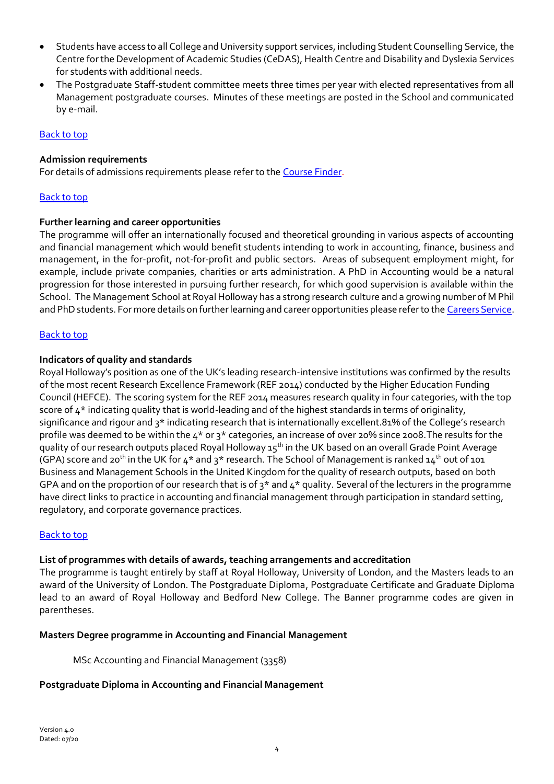- Students have access to all College and University support services, including Student Counselling Service, the Centre for the Development of Academic Studies (CeDAS), Health Centre and Disability and Dyslexia Services for students with additional needs.
- The Postgraduate Staff-student committee meets three times per year with elected representatives from all Management postgraduate courses. Minutes of these meetings are posted in the School and communicated by e-mail.

## [Back to top](#page-0-1)

## <span id="page-3-0"></span>**Admission requirements**

For details of admissions requirements please refer to the [Course Finder.](https://www.royalholloway.ac.uk/management/coursefinder/mscinternationalaccounting(msc).aspx)

#### [Back to top](#page-0-1)

#### <span id="page-3-1"></span>**Further learning and career opportunities**

The programme will offer an internationally focused and theoretical grounding in various aspects of accounting and financial management which would benefit students intending to work in accounting, finance, business and management, in the for-profit, not-for-profit and public sectors. Areas of subsequent employment might, for example, include private companies, charities or arts administration. A PhD in Accounting would be a natural progression for those interested in pursuing further research, for which good supervision is available within the School. The Management School at Royal Holloway has a strong research culture and a growing number of M Phil and PhD students. For more details on further learning and career opportunities please refer to th[e Careers Service.](http://www.rhul.ac.uk/careers/home.aspx)

#### [Back to top](#page-0-1)

#### <span id="page-3-2"></span>**Indicators of quality and standards**

Royal Holloway's position as one of the UK's leading research-intensive institutions was confirmed by the results of the most recent Research Excellence Framework (REF 2014) conducted by the Higher Education Funding Council (HEFCE). The scoring system for the REF 2014 measures research quality in four categories, with the top score of  $4^*$  indicating quality that is world-leading and of the highest standards in terms of originality, significance and rigour and 3\* indicating research that is internationally excellent.81% of the College's research profile was deemed to be within the 4\* or 3\* categories, an increase of over 20% since 2008.The results for the quality of our research outputs placed Royal Holloway 15<sup>th</sup> in the UK based on an overall Grade Point Average (GPA) score and 20<sup>th</sup> in the UK for 4<sup>\*</sup> and 3<sup>\*</sup> research. The School of Management is ranked 14<sup>th</sup> out of 101 Business and Management Schools in the United Kingdom for the quality of research outputs, based on both GPA and on the proportion of our research that is of  $3*$  and  $4*$  quality. Several of the lecturers in the programme have direct links to practice in accounting and financial management through participation in standard setting, regulatory, and corporate governance practices.

#### [Back to top](#page-0-1)

## <span id="page-3-3"></span>**List of programmes with details of awards, teaching arrangements and accreditation**

The programme is taught entirely by staff at Royal Holloway, University of London, and the Masters leads to an award of the University of London. The Postgraduate Diploma, Postgraduate Certificate and Graduate Diploma lead to an award of Royal Holloway and Bedford New College. The Banner programme codes are given in parentheses.

#### **Masters Degree programme in Accounting and Financial Management**

MSc Accounting and Financial Management (3358)

#### **Postgraduate Diploma in Accounting and Financial Management**